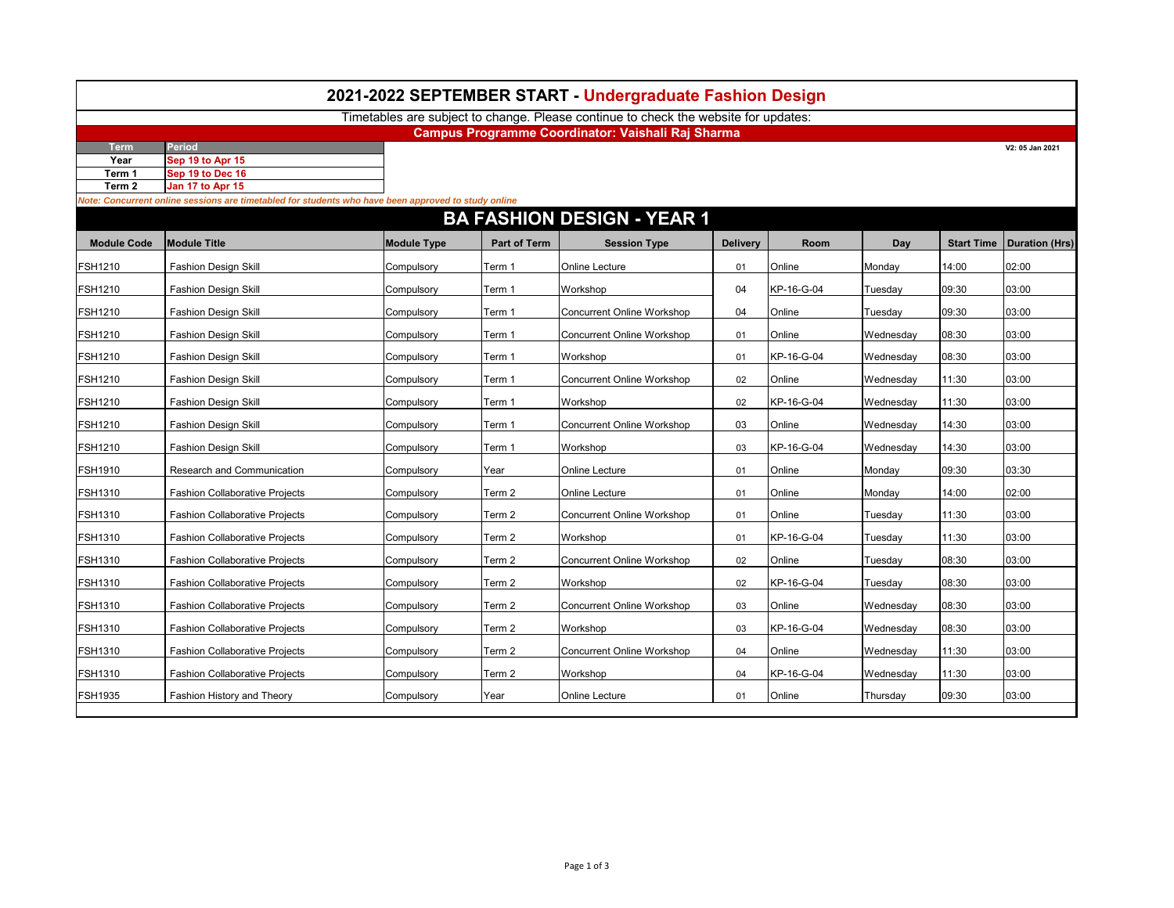|                    |                                                                                                     |                    |                     | 2021-2022 SEPTEMBER START - Undergraduate Fashion Design                            |                 |            |           |       |                                    |
|--------------------|-----------------------------------------------------------------------------------------------------|--------------------|---------------------|-------------------------------------------------------------------------------------|-----------------|------------|-----------|-------|------------------------------------|
|                    |                                                                                                     |                    |                     | Timetables are subject to change. Please continue to check the website for updates: |                 |            |           |       |                                    |
| <b>Term</b>        | Period                                                                                              |                    |                     | Campus Programme Coordinator: Vaishali Raj Sharma                                   |                 |            |           |       | V2: 05 Jan 2021                    |
| Year               | Sep 19 to Apr 15                                                                                    |                    |                     |                                                                                     |                 |            |           |       |                                    |
| Term 1             | Sep 19 to Dec 16                                                                                    |                    |                     |                                                                                     |                 |            |           |       |                                    |
| Term 2             | Jan 17 to Apr 15                                                                                    |                    |                     |                                                                                     |                 |            |           |       |                                    |
|                    | Vote: Concurrent online sessions are timetabled for students who have been approved to study online |                    |                     |                                                                                     |                 |            |           |       |                                    |
|                    |                                                                                                     |                    |                     | <b>BA FASHION DESIGN - YEAR 1</b>                                                   |                 |            |           |       |                                    |
| <b>Module Code</b> | <b>Module Title</b>                                                                                 | <b>Module Type</b> | <b>Part of Term</b> | <b>Session Type</b>                                                                 | <b>Delivery</b> | Room       | Day       |       | <b>Start Time   Duration (Hrs)</b> |
| <b>SH1210</b>      | <b>Fashion Design Skill</b>                                                                         | Compulsory         | Term 1              | Online Lecture                                                                      | 01              | Online     | Monday    | 14:00 | 02:00                              |
| FSH1210            | <b>Fashion Design Skill</b>                                                                         | Compulsory         | Term 1              | Workshop                                                                            | 04              | KP-16-G-04 | Tuesday   | 09:30 | 03:00                              |
| FSH1210            | <b>Fashion Design Skill</b>                                                                         | Compulsory         | Term 1              | <b>Concurrent Online Workshop</b>                                                   | 04              | Online     | Tuesday   | 09:30 | 03:00                              |
| FSH1210            | Fashion Design Skill                                                                                | Compulsory         | Term 1              | <b>Concurrent Online Workshop</b>                                                   | 01              | Online     | Wednesday | 08:30 | 03:00                              |
| FSH1210            | <b>Fashion Design Skill</b>                                                                         | Compulsory         | Term 1              | Workshop                                                                            | 01              | KP-16-G-04 | Wednesday | 08:30 | 03:00                              |
| FSH1210            | <b>Fashion Design Skill</b>                                                                         | Compulsory         | Term 1              | <b>Concurrent Online Workshop</b>                                                   | 02              | Online     | Wednesday | 11:30 | 03:00                              |
| FSH1210            | <b>Fashion Design Skill</b>                                                                         | Compulsory         | Term 1              | Workshop                                                                            | 02              | KP-16-G-04 | Wednesday | 11:30 | 03:00                              |
| FSH1210            | <b>Fashion Design Skill</b>                                                                         | Compulsory         | Term 1              | <b>Concurrent Online Workshop</b>                                                   | 03              | Online     | Wednesday | 14:30 | 03:00                              |
| FSH1210            | <b>Fashion Design Skill</b>                                                                         | Compulsory         | Term 1              | Workshop                                                                            | 03              | KP-16-G-04 | Wednesdav | 14:30 | 03:00                              |
| FSH1910            | Research and Communication                                                                          | Compulsory         | Year                | Online Lecture                                                                      | 01              | Online     | Monday    | 09:30 | 03:30                              |
| FSH1310            | <b>Fashion Collaborative Projects</b>                                                               | Compulsory         | Term 2              | Online Lecture                                                                      | 01              | Online     | Monday    | 14:00 | 02:00                              |
| FSH1310            | <b>Fashion Collaborative Projects</b>                                                               | Compulsory         | Term 2              | <b>Concurrent Online Workshop</b>                                                   | 01              | Online     | Tuesday   | 11:30 | 03:00                              |
| FSH1310            | <b>Fashion Collaborative Projects</b>                                                               | Compulsory         | Term 2              | Workshop                                                                            | 01              | KP-16-G-04 | Tuesday   | 11:30 | 03:00                              |
| <b>SH1310</b>      | <b>Fashion Collaborative Projects</b>                                                               | Compulsory         | Term 2              | <b>Concurrent Online Workshop</b>                                                   | 02              | Online     | Tuesday   | 08:30 | 03:00                              |
| FSH1310            | <b>Fashion Collaborative Projects</b>                                                               | Compulsory         | Term 2              | Workshop                                                                            | 02              | KP-16-G-04 | Tuesday   | 08:30 | 03:00                              |
| FSH1310            | <b>Fashion Collaborative Projects</b>                                                               | Compulsory         | Term 2              | <b>Concurrent Online Workshop</b>                                                   | 03              | Online     | Wednesday | 08:30 | 03:00                              |
| FSH1310            | <b>Fashion Collaborative Projects</b>                                                               | Compulsory         | Term 2              | Workshop                                                                            | 03              | KP-16-G-04 | Wednesday | 08:30 | 03:00                              |
| FSH1310            | <b>Fashion Collaborative Projects</b>                                                               | Compulsory         | Term 2              | <b>Concurrent Online Workshop</b>                                                   | 04              | Online     | Wednesday | 11:30 | 03:00                              |
| FSH1310            | <b>Fashion Collaborative Projects</b>                                                               | Compulsory         | Term 2              | Workshop                                                                            | 04              | KP-16-G-04 | Wednesday | 11:30 | 03:00                              |
| FSH1935            | Fashion History and Theory                                                                          | Compulsory         | Year                | Online Lecture                                                                      | 01              | Online     | Thursday  | 09:30 | 03:00                              |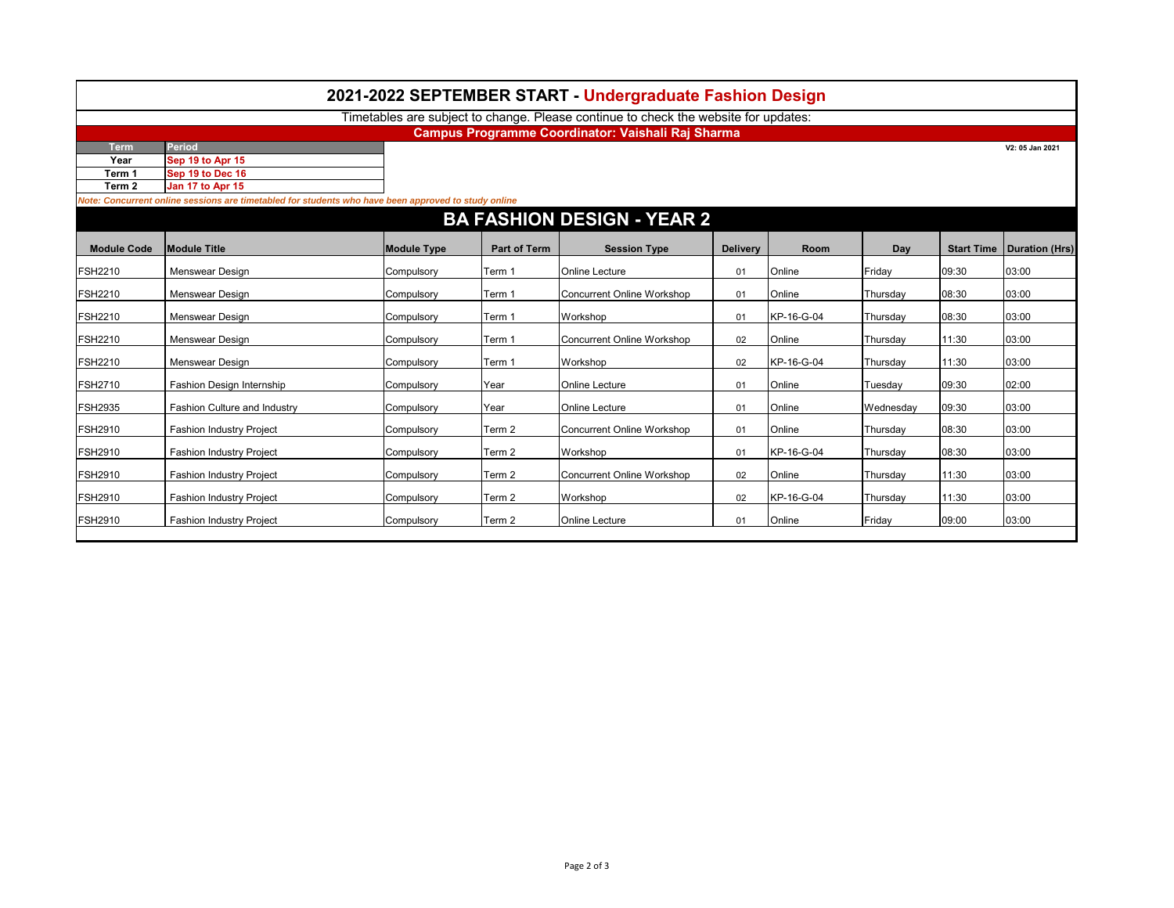|                    |                                                                                                                         |                    |                     | Timetables are subject to change. Please continue to check the website for updates: |                 |             |           |                   |                       |
|--------------------|-------------------------------------------------------------------------------------------------------------------------|--------------------|---------------------|-------------------------------------------------------------------------------------|-----------------|-------------|-----------|-------------------|-----------------------|
|                    |                                                                                                                         |                    |                     | Campus Programme Coordinator: Vaishali Raj Sharma                                   |                 |             |           |                   |                       |
| <b>Term</b>        | Period                                                                                                                  |                    |                     |                                                                                     |                 |             |           |                   | V2: 05 Jan 2021       |
| Year               | Sep 19 to Apr 15                                                                                                        |                    |                     |                                                                                     |                 |             |           |                   |                       |
| Term 1             | Sep 19 to Dec 16                                                                                                        |                    |                     |                                                                                     |                 |             |           |                   |                       |
| Term 2             | Jan 17 to Apr 15<br>Note: Concurrent online sessions are timetabled for students who have been approved to study online |                    |                     |                                                                                     |                 |             |           |                   |                       |
|                    |                                                                                                                         |                    |                     |                                                                                     |                 |             |           |                   |                       |
|                    |                                                                                                                         |                    |                     | <b>BA FASHION DESIGN - YEAR 2</b>                                                   |                 |             |           |                   |                       |
| <b>Module Code</b> | <b>Module Title</b>                                                                                                     | <b>Module Type</b> | <b>Part of Term</b> | <b>Session Type</b>                                                                 | <b>Delivery</b> | <b>Room</b> | Day       | <b>Start Time</b> | <b>Duration (Hrs)</b> |
| <b>FSH2210</b>     | Menswear Design                                                                                                         | Compulsory         | Term 1              | <b>Online Lecture</b>                                                               | 01              | Online      | Friday    | 09:30             | 03:00                 |
| <b>FSH2210</b>     | Menswear Design                                                                                                         | Compulsory         | Term 1              | Concurrent Online Workshop                                                          | 01              | Online      | Thursday  | 08:30             | 03:00                 |
| <b>FSH2210</b>     | Menswear Design                                                                                                         | Compulsory         | Term 1              | Workshop                                                                            | 01              | KP-16-G-04  | Thursday  | 08:30             | 03:00                 |
| <b>FSH2210</b>     | Menswear Design                                                                                                         | Compulsory         | Term 1              | Concurrent Online Workshop                                                          | 02              | Online      | Thursday  | 11:30             | 03:00                 |
| <b>FSH2210</b>     | Menswear Design                                                                                                         | Compulsory         | Term 1              | Workshop                                                                            | 02              | KP-16-G-04  | Thursday  | 11:30             | 03:00                 |
| <b>FSH2710</b>     | Fashion Design Internship                                                                                               | Compulsory         | Year                | <b>Online Lecture</b>                                                               | 01              | Online      | Tuesday   | 09:30             | 02:00                 |
| <b>FSH2935</b>     | <b>Fashion Culture and Industry</b>                                                                                     | Compulsory         | Year                | <b>Online Lecture</b>                                                               | 01              | Online      | Wednesdav | 09:30             | 03:00                 |
| <b>FSH2910</b>     | <b>Fashion Industry Project</b>                                                                                         | Compulsory         | Term 2              | Concurrent Online Workshop                                                          | 01              | Online      | Thursday  | 08:30             | 03:00                 |
| <b>FSH2910</b>     | <b>Fashion Industry Project</b>                                                                                         | Compulsory         | Term <sub>2</sub>   | Workshop                                                                            | 01              | KP-16-G-04  | Thursday  | 08:30             | 03:00                 |
| <b>FSH2910</b>     | <b>Fashion Industry Project</b>                                                                                         | Compulsory         | Term 2              | Concurrent Online Workshop                                                          | 02              | Online      | Thursday  | 11:30             | 03:00                 |
| <b>FSH2910</b>     | <b>Fashion Industry Project</b>                                                                                         | Compulsory         | Term 2              | Workshop                                                                            | 02              | KP-16-G-04  | Thursday  | 11:30             | 03:00                 |
| <b>FSH2910</b>     | Fashion Industry Project                                                                                                | Compulsory         | Term <sub>2</sub>   | <b>Online Lecture</b>                                                               | 01              | Online      | Friday    | 09:00             | 03:00                 |